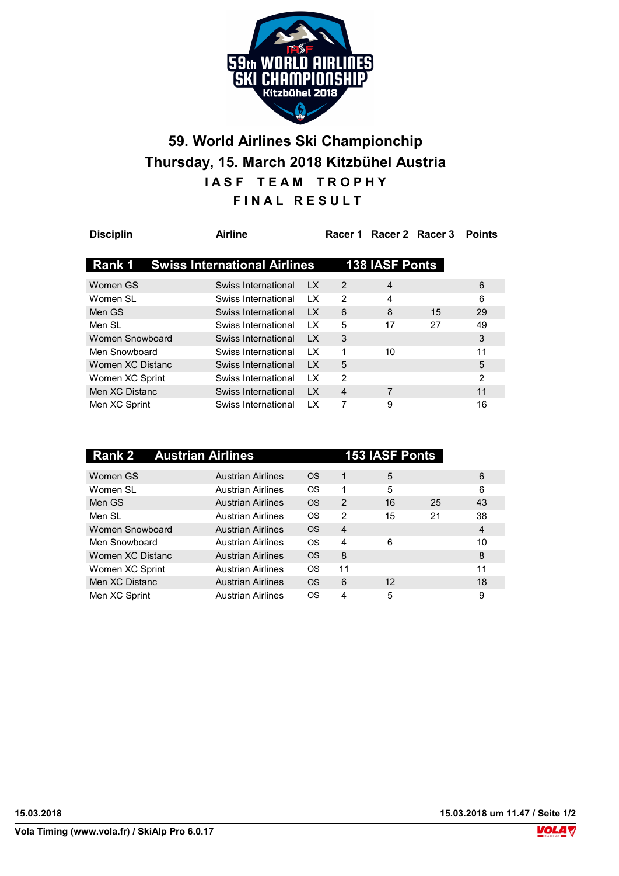

## 59. World Airlines Ski Championchip Thursday, 15. March 2018 Kitzbühel Austria IASF TEAM TROPHY FINAL RESULT

| <b>Disciplin</b> | <b>Airline</b>                      |                         | Racer 1        |                       | Racer 2 Racer 3 | <b>Points</b>  |
|------------------|-------------------------------------|-------------------------|----------------|-----------------------|-----------------|----------------|
| Rank 1           | <b>Swiss International Airlines</b> |                         |                | <b>138 IASF Ponts</b> |                 |                |
| Women GS         | Swiss International                 | LX.                     | $\mathcal{P}$  | 4                     |                 | 6              |
| Women SI         | Swiss International                 | 1X                      | $\mathcal{P}$  | 4                     |                 | 6              |
| Men GS           | Swiss International                 | $\overline{1}$ X        | 6              | 8                     | 15              | 29             |
| Men SI           | Swiss International                 | $\mathsf{I} \mathsf{X}$ | 5              | 17                    | 27              | 49             |
| Women Snowboard  | Swiss International                 | <b>LX</b>               | 3              |                       |                 | 3              |
| Men Snowboard    | Swiss International                 | 1X                      | 1              | 10                    |                 | 11             |
| Women XC Distanc | Swiss International                 | $\mathsf{I} \mathsf{X}$ | 5              |                       |                 | 5              |
| Women XC Sprint  | Swiss International                 | LX.                     | 2              |                       |                 | $\overline{2}$ |
| Men XC Distanc   | Swiss International                 | <b>LX</b>               | $\overline{4}$ | 7                     |                 | 11             |
| Men XC Sprint    | Swiss International                 | 1 X                     | 7              | 9                     |                 | 16             |

|                  | <b>Rank 2 Austrian Airlines</b> |           |                | <b>153 IASF Ponts</b> |    |    |
|------------------|---------------------------------|-----------|----------------|-----------------------|----|----|
| Women GS         | <b>Austrian Airlines</b>        | <b>OS</b> | 1              | 5                     |    | 6  |
| Women SL         | <b>Austrian Airlines</b>        | OS        | 1              | 5                     |    | 6  |
| Men GS           | <b>Austrian Airlines</b>        | <b>OS</b> | $\mathcal{P}$  | 16                    | 25 | 43 |
| Men SI           | <b>Austrian Airlines</b>        | OS        | $\mathcal{P}$  | 15                    | 21 | 38 |
| Women Snowboard  | <b>Austrian Airlines</b>        | <b>OS</b> | $\overline{4}$ |                       |    | 4  |
| Men Snowboard    | <b>Austrian Airlines</b>        | <b>OS</b> | 4              | 6                     |    | 10 |
| Women XC Distanc | <b>Austrian Airlines</b>        | <b>OS</b> | 8              |                       |    | 8  |
| Women XC Sprint  | <b>Austrian Airlines</b>        | OS        | 11             |                       |    | 11 |
| Men XC Distanc   | <b>Austrian Airlines</b>        | <b>OS</b> | 6              | $12 \overline{ }$     |    | 18 |
| Men XC Sprint    | <b>Austrian Airlines</b>        | OS        | 4              | 5                     |    | 9  |